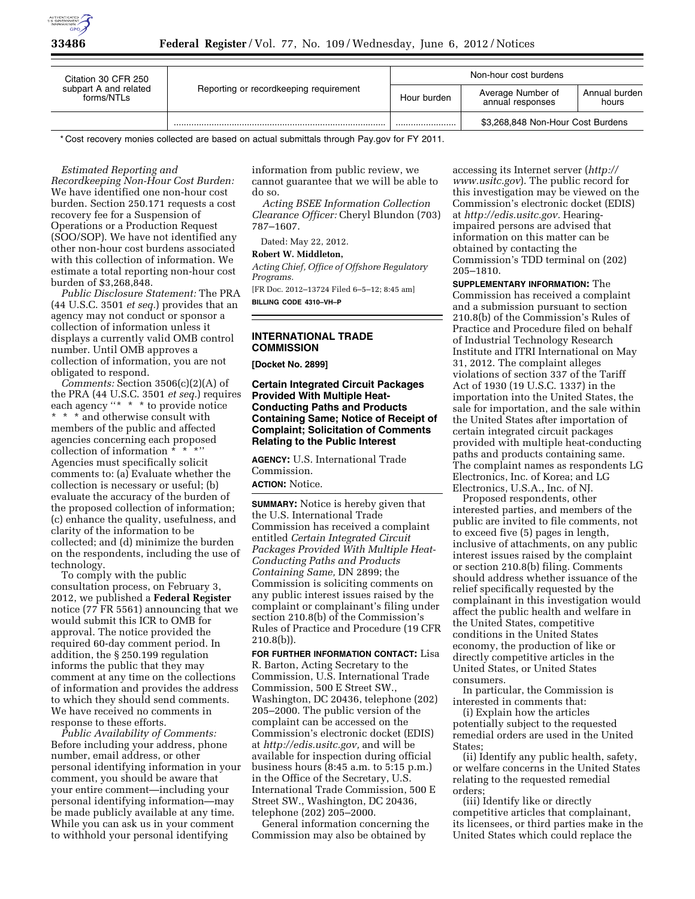

| Citation 30 CFR 250<br>subpart A and related<br>forms/NTLs | Reporting or recordkeeping requirement | Non-hour cost burdens |                                       |                        |
|------------------------------------------------------------|----------------------------------------|-----------------------|---------------------------------------|------------------------|
|                                                            |                                        | Hour burden           | Average Number of<br>annual responses | Annual burden<br>hours |
|                                                            |                                        |                       | \$3,268,848 Non-Hour Cost Burdens     |                        |

\* Cost recovery monies collected are based on actual submittals through Pay.gov for FY 2011.

#### *Estimated Reporting and*

*Recordkeeping Non-Hour Cost Burden:*  We have identified one non-hour cost burden. Section 250.171 requests a cost recovery fee for a Suspension of Operations or a Production Request (SOO/SOP). We have not identified any other non-hour cost burdens associated with this collection of information. We estimate a total reporting non-hour cost burden of \$3,268,848.

*Public Disclosure Statement:* The PRA (44 U.S.C. 3501 *et seq.*) provides that an agency may not conduct or sponsor a collection of information unless it displays a currently valid OMB control number. Until OMB approves a collection of information, you are not obligated to respond.

*Comments:* Section 3506(c)(2)(A) of the PRA (44 U.S.C. 3501 *et seq.*) requires each agency "\* \* \* to provide notice \* \* \* and otherwise consult with members of the public and affected agencies concerning each proposed collection of information \* \* \*'' Agencies must specifically solicit comments to: (a) Evaluate whether the collection is necessary or useful; (b) evaluate the accuracy of the burden of the proposed collection of information; (c) enhance the quality, usefulness, and clarity of the information to be collected; and (d) minimize the burden on the respondents, including the use of technology.

To comply with the public consultation process, on February 3, 2012, we published a **Federal Register**  notice (77 FR 5561) announcing that we would submit this ICR to OMB for approval. The notice provided the required 60-day comment period. In addition, the § 250.199 regulation informs the public that they may comment at any time on the collections of information and provides the address to which they should send comments. We have received no comments in response to these efforts.

*Public Availability of Comments:*  Before including your address, phone number, email address, or other personal identifying information in your comment, you should be aware that your entire comment—including your personal identifying information—may be made publicly available at any time. While you can ask us in your comment to withhold your personal identifying

information from public review, we cannot guarantee that we will be able to do so.

*Acting BSEE Information Collection Clearance Officer:* Cheryl Blundon (703) 787–1607.

Dated: May 22, 2012.

#### **Robert W. Middleton,**

*Acting Chief, Office of Offshore Regulatory Programs.* 

[FR Doc. 2012–13724 Filed 6–5–12; 8:45 am] **BILLING CODE 4310–VH–P** 

## **INTERNATIONAL TRADE COMMISSION**

**[Docket No. 2899]** 

## **Certain Integrated Circuit Packages Provided With Multiple Heat-Conducting Paths and Products Containing Same; Notice of Receipt of Complaint; Solicitation of Comments Relating to the Public Interest**

**AGENCY:** U.S. International Trade Commission.

#### **ACTION:** Notice.

**SUMMARY:** Notice is hereby given that the U.S. International Trade Commission has received a complaint entitled *Certain Integrated Circuit Packages Provided With Multiple Heat-Conducting Paths and Products Containing Same,* DN 2899; the Commission is soliciting comments on any public interest issues raised by the complaint or complainant's filing under section 210.8(b) of the Commission's Rules of Practice and Procedure (19 CFR  $(210.8(b))$ .

**FOR FURTHER INFORMATION CONTACT:** Lisa R. Barton, Acting Secretary to the Commission, U.S. International Trade Commission, 500 E Street SW., Washington, DC 20436, telephone (202) 205–2000. The public version of the complaint can be accessed on the Commission's electronic docket (EDIS) at *[http://edis.usitc.gov,](http://edis.usitc.gov)* and will be available for inspection during official business hours (8:45 a.m. to 5:15 p.m.) in the Office of the Secretary, U.S. International Trade Commission, 500 E Street SW., Washington, DC 20436, telephone (202) 205–2000.

General information concerning the Commission may also be obtained by

accessing its Internet server (*[http://](http://www.usitc.gov)  [www.usitc.gov](http://www.usitc.gov)*). The public record for this investigation may be viewed on the Commission's electronic docket (EDIS) at *[http://edis.usitc.gov.](http://edis.usitc.gov)* Hearingimpaired persons are advised that information on this matter can be obtained by contacting the Commission's TDD terminal on (202) 205–1810.

**SUPPLEMENTARY INFORMATION:** The Commission has received a complaint and a submission pursuant to section 210.8(b) of the Commission's Rules of Practice and Procedure filed on behalf of Industrial Technology Research Institute and ITRI International on May 31, 2012. The complaint alleges violations of section 337 of the Tariff Act of 1930 (19 U.S.C. 1337) in the importation into the United States, the sale for importation, and the sale within the United States after importation of certain integrated circuit packages provided with multiple heat-conducting paths and products containing same. The complaint names as respondents LG Electronics, Inc. of Korea; and LG Electronics, U.S.A., Inc. of NJ.

Proposed respondents, other interested parties, and members of the public are invited to file comments, not to exceed five (5) pages in length, inclusive of attachments, on any public interest issues raised by the complaint or section 210.8(b) filing. Comments should address whether issuance of the relief specifically requested by the complainant in this investigation would affect the public health and welfare in the United States, competitive conditions in the United States economy, the production of like or directly competitive articles in the United States, or United States consumers.

In particular, the Commission is interested in comments that:

(i) Explain how the articles potentially subject to the requested remedial orders are used in the United States;

(ii) Identify any public health, safety, or welfare concerns in the United States relating to the requested remedial orders;

(iii) Identify like or directly competitive articles that complainant, its licensees, or third parties make in the United States which could replace the